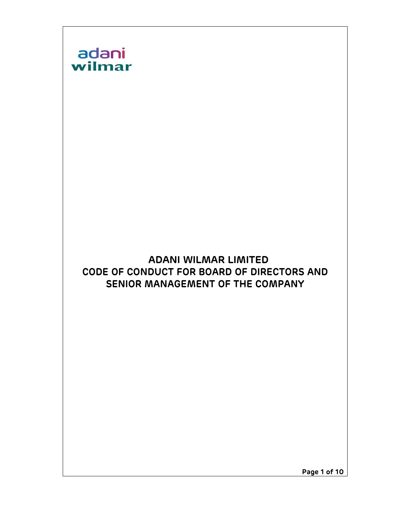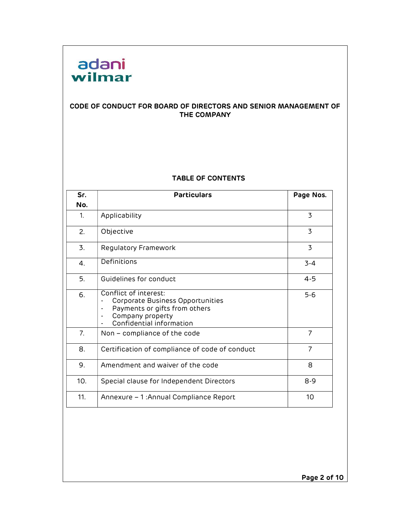

#### CODE OF CONDUCT FOR BOARD OF DIRECTORS AND SENIOR MANAGEMENT OF THE COMPANY

#### TABLE OF CONTENTS

| Sr. | <b>Particulars</b><br>Page Nos.                                                                                                                                                                                      |                |  |
|-----|----------------------------------------------------------------------------------------------------------------------------------------------------------------------------------------------------------------------|----------------|--|
| No. |                                                                                                                                                                                                                      |                |  |
| 1.  | Applicability                                                                                                                                                                                                        | $\overline{3}$ |  |
| 2.  | Objective                                                                                                                                                                                                            | $\overline{3}$ |  |
| 3.  | Regulatory Framework                                                                                                                                                                                                 | $\overline{3}$ |  |
| 4.  | Definitions                                                                                                                                                                                                          | $3 - 4$        |  |
| 5.  | Guidelines for conduct                                                                                                                                                                                               | $4 - 5$        |  |
| 6.  | Conflict of interest:<br>Corporate Business Opportunities<br>$\overline{\phantom{a}}$<br>Payments or gifts from others<br>$\overline{\phantom{a}}$<br>Company property<br>$\blacksquare$<br>Confidential information | $5 - 6$        |  |
| 7.  | Non – compliance of the code                                                                                                                                                                                         | $\overline{7}$ |  |
| 8.  | Certification of compliance of code of conduct                                                                                                                                                                       | $\overline{7}$ |  |
| 9.  | Amendment and waiver of the code                                                                                                                                                                                     | 8              |  |
| 10. | Special clause for Independent Directors                                                                                                                                                                             | $8 - 9$        |  |
| 11. | Annexure – 1: Annual Compliance Report                                                                                                                                                                               | 10             |  |

Page 2 of 10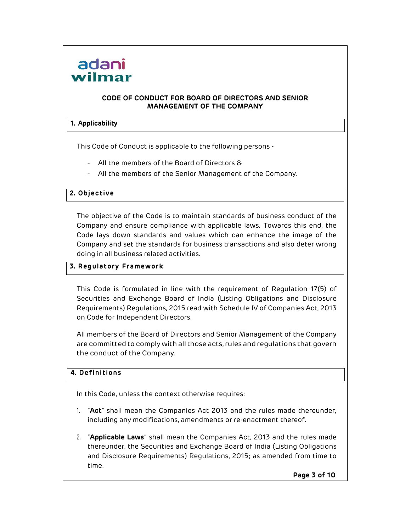#### CODE OF CONDUCT FOR BOARD OF DIRECTORS AND SENIOR MANAGEMENT OF THE COMPANY

#### 1. Applicability

This Code of Conduct is applicable to the following persons -

- All the members of the Board of Directors &
- All the members of the Senior Management of the Company.

#### 2. Objective

The objective of the Code is to maintain standards of business conduct of the Company and ensure compliance with applicable laws. Towards this end, the Code lays down standards and values which can enhance the image of the Company and set the standards for business transactions and also deter wrong doing in all business related activities.

#### 3. Regulatory Framework

This Code is formulated in line with the requirement of Regulation 17(5) of Securities and Exchange Board of India (Listing Obligations and Disclosure Requirements) Regulations, 2015 read with Schedule IV of Companies Act, 2013 on Code for Independent Directors.

All members of the Board of Directors and Senior Management of the Company are committed to comply with all those acts, rules and regulations that govern the conduct of the Company.

#### 4. Definitions

In this Code, unless the context otherwise requires:

- 1. "Act" shall mean the Companies Act 2013 and the rules made thereunder, including any modifications, amendments or re-enactment thereof.
- 2. "Applicable Laws" shall mean the Companies Act, 2013 and the rules made thereunder, the Securities and Exchange Board of India (Listing Obligations and Disclosure Requirements) Regulations, 2015; as amended from time to time.

Page 3 of 10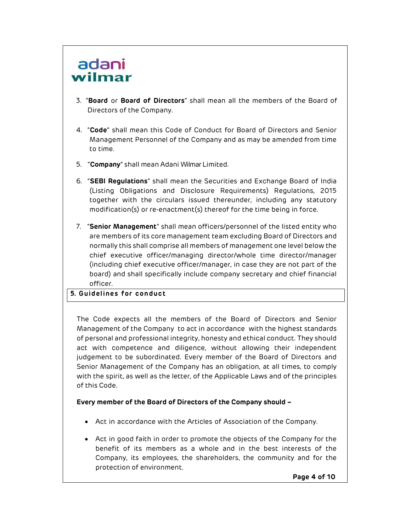- 3. "Board or Board of Directors" shall mean all the members of the Board of Directors of the Company.
- 4. "Code" shall mean this Code of Conduct for Board of Directors and Senior Management Personnel of the Company and as may be amended from time to time.
- 5. "Company" shall mean Adani Wilmar Limited.
- 6. "SEBI Regulations" shall mean the Securities and Exchange Board of India (Listing Obligations and Disclosure Requirements) Regulations, 2015 together with the circulars issued thereunder, including any statutory modification(s) or re-enactment(s) thereof for the time being in force.
- 7. "Senior Management" shall mean officers/personnel of the listed entity who are members of its core management team excluding Board of Directors and normally this shall comprise all members of management one level below the chief executive officer/managing director/whole time director/manager (including chief executive officer/manager, in case they are not part of the board) and shall specifically include company secretary and chief financial officer.

#### 5. Guidelines for conduct

The Code expects all the members of the Board of Directors and Senior Management of the Company to act in accordance with the highest standards of personal and professional integrity, honesty and ethical conduct. They should act with competence and diligence, without allowing their independent judgement to be subordinated. Every member of the Board of Directors and Senior Management of the Company has an obligation, at all times, to comply with the spirit, as well as the letter, of the Applicable Laws and of the principles of this Code.

#### Every member of the Board of Directors of the Company should –

- Act in accordance with the Articles of Association of the Company.
- Act in good faith in order to promote the objects of the Company for the benefit of its members as a whole and in the best interests of the Company, its employees, the shareholders, the community and for the protection of environment.

Page 4 of 10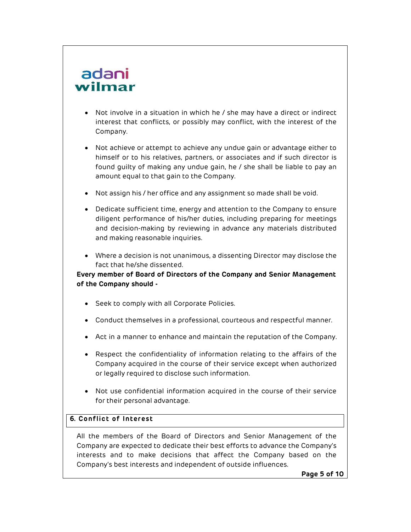## adani

- Not involve in a situation in which he / she may have a direct or indirect interest that conflicts, or possibly may conflict, with the interest of the Company.
- Not achieve or attempt to achieve any undue gain or advantage either to himself or to his relatives, partners, or associates and if such director is found guilty of making any undue gain, he / she shall be liable to pay an amount equal to that gain to the Company.
- Not assign his / her office and any assignment so made shall be void.
- Dedicate sufficient time, energy and attention to the Company to ensure diligent performance of his/her duties, including preparing for meetings and decision-making by reviewing in advance any materials distributed and making reasonable inquiries.
- Where a decision is not unanimous, a dissenting Director may disclose the fact that he/she dissented.

Every member of Board of Directors of the Company and Senior Management of the Company should -

- Seek to comply with all Corporate Policies.
- Conduct themselves in a professional, courteous and respectful manner.
- Act in a manner to enhance and maintain the reputation of the Company.
- Respect the confidentiality of information relating to the affairs of the Company acquired in the course of their service except when authorized or legally required to disclose such information.
- Not use confidential information acquired in the course of their service for their personal advantage.

#### 6. Conflict of Interest

All the members of the Board of Directors and Senior Management of the Company are expected to dedicate their best efforts to advance the Company's interests and to make decisions that affect the Company based on the Company's best interests and independent of outside influences.

Page 5 of 10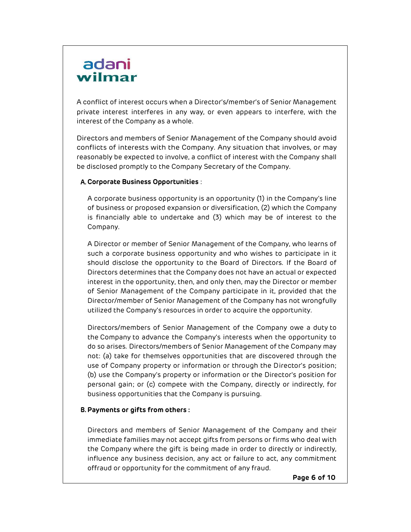A conflict of interest occurs when a Director's/member's of Senior Management private interest interferes in any way, or even appears to interfere, with the interest of the Company as a whole.

Directors and members of Senior Management of the Company should avoid conflicts of interests with the Company. Any situation that involves, or may reasonably be expected to involve, a conflict of interest with the Company shall be disclosed promptly to the Company Secretary of the Company.

#### A.Corporate Business Opportunities :

A corporate business opportunity is an opportunity (1) in the Company's line of business or proposed expansion or diversification, (2) which the Company is financially able to undertake and (3) which may be of interest to the Company.

A Director or member of Senior Management of the Company, who learns of such a corporate business opportunity and who wishes to participate in it should disclose the opportunity to the Board of Directors. If the Board of Directors determines that the Company does not have an actual or expected interest in the opportunity, then, and only then, may the Director or member of Senior Management of the Company participate in it, provided that the Director/member of Senior Management of the Company has not wrongfully utilized the Company's resources in order to acquire the opportunity.

Directors/members of Senior Management of the Company owe a duty to the Company to advance the Company's interests when the opportunity to do so arises. Directors/members of Senior Management of the Company may not: (a) take for themselves opportunities that are discovered through the use of Company property or information or through the Director's position; (b) use the Company's property or information or the Director's position for personal gain; or (c) compete with the Company, directly or indirectly, for business opportunities that the Company is pursuing.

#### B.Payments or gifts from others :

Directors and members of Senior Management of the Company and their immediate families may not accept gifts from persons or firms who deal with the Company where the gift is being made in order to directly or indirectly, influence any business decision, any act or failure to act, any commitment offraud or opportunity for the commitment of any fraud.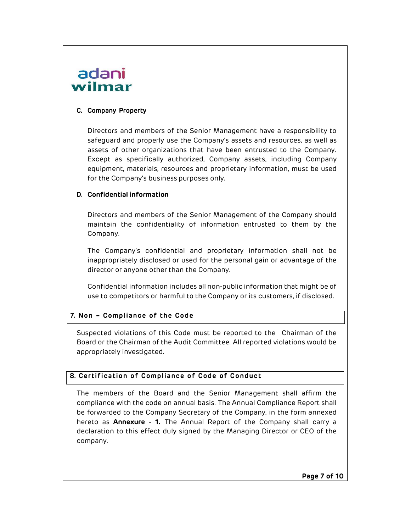#### C. Company Property

Directors and members of the Senior Management have a responsibility to safeguard and properly use the Company's assets and resources, as well as assets of other organizations that have been entrusted to the Company. Except as specifically authorized, Company assets, including Company equipment, materials, resources and proprietary information, must be used for the Company's business purposes only.

#### D. Confidential information

Directors and members of the Senior Management of the Company should maintain the confidentiality of information entrusted to them by the Company.

The Company's confidential and proprietary information shall not be inappropriately disclosed or used for the personal gain or advantage of the director or anyone other than the Company.

Confidential information includes all non-public information that might be of use to competitors or harmful to the Company or its customers, if disclosed.

#### 7. Non – Compliance of the Code

Suspected violations of this Code must be reported to the Chairman of the Board or the Chairman of the Audit Committee. All reported violations would be appropriately investigated.

#### 8. Certification of Compliance of Code of Conduct

The members of the Board and the Senior Management shall affirm the compliance with the code on annual basis. The Annual Compliance Report shall be forwarded to the Company Secretary of the Company, in the form annexed hereto as **Annexure - 1.** The Annual Report of the Company shall carry a declaration to this effect duly signed by the Managing Director or CEO of the company.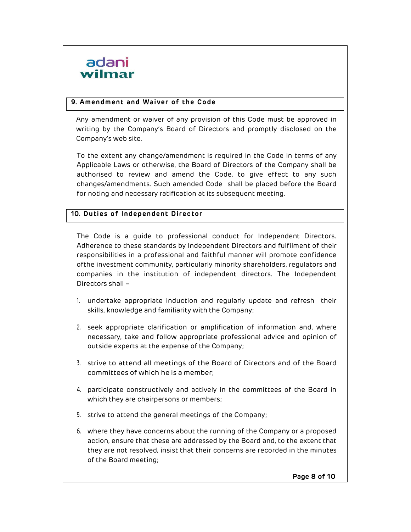

#### 9. Amendment and Waiver of the Code

Any amendment or waiver of any provision of this Code must be approved in writing by the Company's Board of Directors and promptly disclosed on the Company's web site.

To the extent any change/amendment is required in the Code in terms of any Applicable Laws or otherwise, the Board of Directors of the Company shall be authorised to review and amend the Code, to give effect to any such changes/amendments. Such amended Code shall be placed before the Board for noting and necessary ratification at its subsequent meeting.

#### 10. Duties of Independent Director

The Code is a guide to professional conduct for Independent Directors. Adherence to these standards by Independent Directors and fulfilment of their responsibilities in a professional and faithful manner will promote confidence ofthe investment community, particularly minority shareholders, regulators and companies in the institution of independent directors. The Independent Directors shall –

- 1. undertake appropriate induction and regularly update and refresh their skills, knowledge and familiarity with the Company;
- 2. seek appropriate clarification or amplification of information and, where necessary, take and follow appropriate professional advice and opinion of outside experts at the expense of the Company;
- 3. strive to attend all meetings of the Board of Directors and of the Board committees of which he is a member;
- 4. participate constructively and actively in the committees of the Board in which they are chairpersons or members;
- 5. strive to attend the general meetings of the Company;
- 6. where they have concerns about the running of the Company or a proposed action, ensure that these are addressed by the Board and, to the extent that they are not resolved, insist that their concerns are recorded in the minutes of the Board meeting;

Page 8 of 10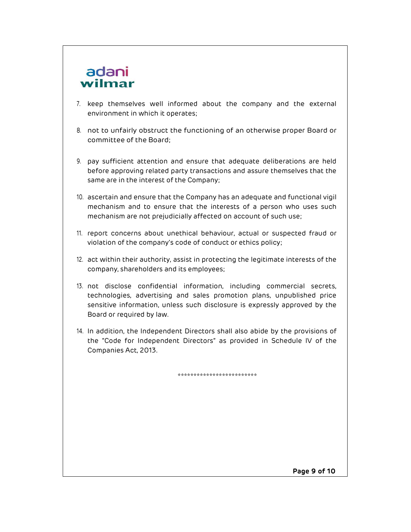- 7. keep themselves well informed about the company and the external environment in which it operates;
- 8. not to unfairly obstruct the functioning of an otherwise proper Board or committee of the Board;
- 9. pay sufficient attention and ensure that adequate deliberations are held before approving related party transactions and assure themselves that the same are in the interest of the Company;
- 10. ascertain and ensure that the Company has an adequate and functional vigil mechanism and to ensure that the interests of a person who uses such mechanism are not prejudicially affected on account of such use;
- 11. report concerns about unethical behaviour, actual or suspected fraud or violation of the company's code of conduct or ethics policy;
- 12. act within their authority, assist in protecting the legitimate interests of the company, shareholders and its employees;
- 13. not disclose confidential information, including commercial secrets, technologies, advertising and sales promotion plans, unpublished price sensitive information, unless such disclosure is expressly approved by the Board or required by law.
- 14. In addition, the Independent Directors shall also abide by the provisions of the "Code for Independent Directors" as provided in Schedule IV of the Companies Act, 2013.

\*\*\*\*\*\*\*\*\*\*\*\*\*\*\*\*\*\*\*\*\*\*\*\*\*

Page 9 of 10